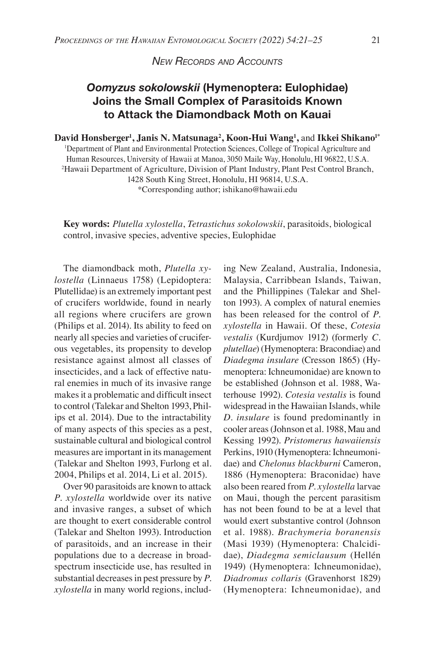## *New Records and Accounts*

# *Oomyzus sokolowskii* **(Hymenoptera: Eulophidae) Joins the Small Complex of Parasitoids Known to Attack the Diamondback Moth on Kauai**

### **David Honsberger1 , Janis N. Matsunaga2 , Koon-Hui Wang1 ,** and **Ikkei Shikano1\***

1 Department of Plant and Environmental Protection Sciences, College of Tropical Agriculture and Human Resources, University of Hawaii at Manoa, 3050 Maile Way, Honolulu, HI 96822, U.S.A. 2 Hawaii Department of Agriculture, Division of Plant Industry, Plant Pest Control Branch, 1428 South King Street, Honolulu, HI 96814, U.S.A.

\*Corresponding author; ishikano@hawaii.edu

**Key words:** *Plutella xylostella*, *Tetrastichus sokolowskii*, parasitoids, biological control, invasive species, adventive species, Eulophidae

The diamondback moth, *Plutella xylostella* (Linnaeus 1758) (Lepidoptera: Plutellidae) is an extremely important pest of crucifers worldwide, found in nearly all regions where crucifers are grown (Philips et al. 2014). Its ability to feed on nearly all species and varieties of cruciferous vegetables, its propensity to develop resistance against almost all classes of insecticides, and a lack of effective natural enemies in much of its invasive range makes it a problematic and difficult insect to control (Talekar and Shelton 1993, Philips et al. 2014). Due to the intractability of many aspects of this species as a pest, sustainable cultural and biological control measures are important in its management (Talekar and Shelton 1993, Furlong et al. 2004, Philips et al. 2014, Li et al. 2015).

Over 90 parasitoids are known to attack *P. xylostella* worldwide over its native and invasive ranges, a subset of which are thought to exert considerable control (Talekar and Shelton 1993). Introduction of parasitoids, and an increase in their populations due to a decrease in broadspectrum insecticide use, has resulted in substantial decreases in pest pressure by *P. xylostella* in many world regions, includ-

ing New Zealand, Australia, Indonesia, Malaysia, Carribbean Islands, Taiwan, and the Phillippines (Talekar and Shelton 1993). A complex of natural enemies has been released for the control of *P. xylostella* in Hawaii. Of these, *Cotesia vestalis* (Kurdjumov 1912) (formerly *C. plutellae*) (Hymenoptera: Bracondiae) and *Diadegma insulare* (Cresson 1865) (Hymenoptera: Ichneumonidae) are known to be established (Johnson et al. 1988, Waterhouse 1992). *Cotesia vestalis* is found widespread in the Hawaiian Islands, while *D. insulare* is found predominantly in cooler areas (Johnson et al. 1988, Mau and Kessing 1992). *Pristomerus hawaiiensis* Perkins, 1910 (Hymenoptera: Ichneumonidae) and *Chelonus blackburni* Cameron, 1886 (Hymenoptera: Braconidae) have also been reared from *P. xylostella* larvae on Maui, though the percent parasitism has not been found to be at a level that would exert substantive control (Johnson et al. 1988). *Brachymeria boranensis*  (Masi 1939) (Hymenoptera: Chalcididae), *Diadegma semiclausum* (Hellén 1949) (Hymenoptera: Ichneumonidae), *Diadromus collaris* (Gravenhorst 1829) (Hymenoptera: Ichneumonidae), and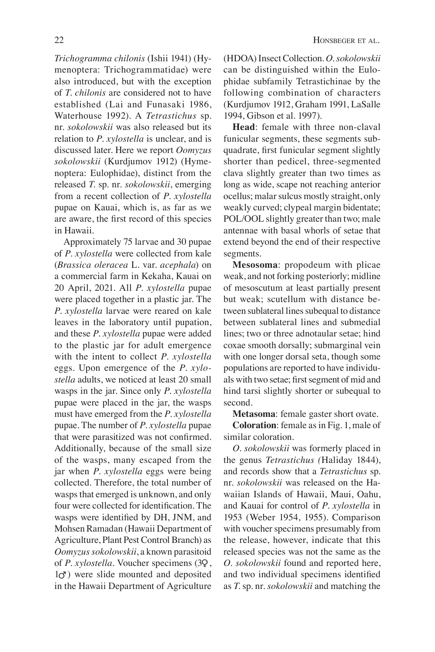*Trichogramma chilonis* (Ishii 1941) (Hymenoptera: Trichogrammatidae) were also introduced, but with the exception of *T. chilonis* are considered not to have established (Lai and Funasaki 1986, Waterhouse 1992). A *Tetrastichus* sp. nr. *sokolowskii* was also released but its relation to *P. xylostella* is unclear, and is discussed later. Here we report *Oomyzus sokolowskii* (Kurdjumov 1912) (Hymenoptera: Eulophidae), distinct from the released *T*. sp. nr. *sokolowskii*, emerging from a recent collection of *P. xylostella* pupae on Kauai, which is, as far as we are aware, the first record of this species in Hawaii.

Approximately 75 larvae and 30 pupae of *P. xylostella* were collected from kale (*Brassica oleracea* L. var. *acephala*) on a commercial farm in Kekaha, Kauai on 20 April, 2021. All *P. xylostella* pupae were placed together in a plastic jar. The *P. xylostella* larvae were reared on kale leaves in the laboratory until pupation, and these *P. xylostella* pupae were added to the plastic jar for adult emergence with the intent to collect *P. xylostella*  eggs. Upon emergence of the *P. xylostella* adults, we noticed at least 20 small wasps in the jar. Since only *P. xylostella* pupae were placed in the jar, the wasps must have emerged from the *P. xylostella* pupae. The number of *P. xylostella* pupae that were parasitized was not confirmed. Additionally, because of the small size of the wasps, many escaped from the jar when *P. xylostella* eggs were being collected. Therefore, the total number of wasps that emerged is unknown, and only four were collected for identification. The wasps were identified by DH, JNM, and Mohsen Ramadan (Hawaii Department of Agriculture, Plant Pest Control Branch) as *Oomyzus sokolowskii*, a known parasitoid of *P. xylostella*. Voucher specimens (3♀, 1♂) were slide mounted and deposited in the Hawaii Department of Agriculture

(HDOA) Insect Collection. *O. sokolowskii* can be distinguished within the Eulophidae subfamily Tetrastichinae by the following combination of characters (Kurdjumov 1912, Graham 1991, LaSalle 1994, Gibson et al. 1997).

**Head**: female with three non-claval funicular segments, these segments subquadrate, first funicular segment slightly shorter than pedicel, three-segmented clava slightly greater than two times as long as wide, scape not reaching anterior ocellus; malar sulcus mostly straight, only weakly curved; clypeal margin bidentate; POL/OOL slightly greater than two; male antennae with basal whorls of setae that extend beyond the end of their respective segments.

**Mesosoma**: propodeum with plicae weak, and not forking posteriorly; midline of mesoscutum at least partially present but weak; scutellum with distance between sublateral lines subequal to distance between sublateral lines and submedial lines; two or three adnotaular setae; hind coxae smooth dorsally; submarginal vein with one longer dorsal seta, though some populations are reported to have individuals with two setae; first segment of mid and hind tarsi slightly shorter or subequal to second.

**Metasoma**: female gaster short ovate.

**Coloration**: female as in Fig. 1, male of similar coloration.

*O. sokolowskii* was formerly placed in the genus *Tetrastichus (*Haliday 1844), and records show that a *Tetrastichus* sp. nr. *sokolowskii* was released on the Hawaiian Islands of Hawaii, Maui, Oahu, and Kauai for control of *P. xylostella* in 1953 (Weber 1954, 1955). Comparison with voucher specimens presumably from the release, however, indicate that this released species was not the same as the *O. sokolowskii* found and reported here, and two individual specimens identified as *T*. sp. nr. *sokolowskii* and matching the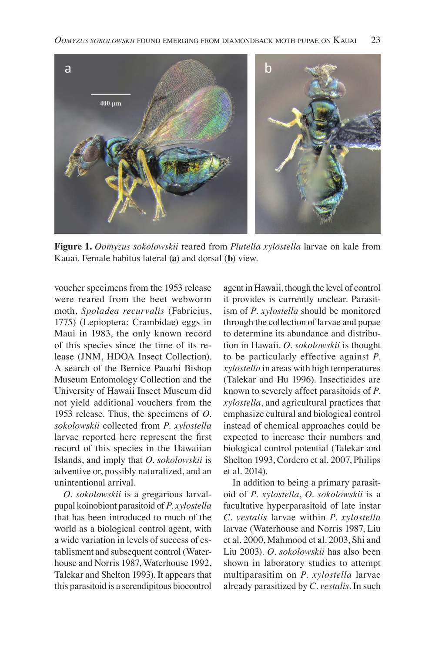

**Figure 1.** *Oomyzus sokolowskii* reared from *Plutella xylostella* larvae on kale from Kauai. Female habitus lateral (**a**) and dorsal (**b**) view.

voucher specimens from the 1953 release were reared from the beet webworm moth, *Spoladea recurvalis* (Fabricius, 1775) (Lepioptera: Crambidae) eggs in Maui in 1983, the only known record of this species since the time of its release (JNM, HDOA Insect Collection). A search of the Bernice Pauahi Bishop Museum Entomology Collection and the University of Hawaii Insect Museum did not yield additional vouchers from the 1953 release. Thus, the specimens of *O. sokolowskii* collected from *P. xylostella*  larvae reported here represent the first record of this species in the Hawaiian Islands, and imply that *O. sokolowskii* is adventive or, possibly naturalized, and an unintentional arrival.

*O. sokolowskii* is a gregarious larvalpupal koinobiont parasitoid of *P. xylostella* that has been introduced to much of the world as a biological control agent, with a wide variation in levels of success of establisment and subsequent control (Waterhouse and Norris 1987, Waterhouse 1992, Talekar and Shelton 1993). It appears that this parasitoid is a serendipitous biocontrol

agent in Hawaii, though the level of control it provides is currently unclear. Parasitism of *P. xylostella* should be monitored through the collection of larvae and pupae to determine its abundance and distribution in Hawaii. *O. sokolowskii* is thought to be particularly effective against *P. xylostella* in areas with high temperatures (Talekar and Hu 1996). Insecticides are known to severely affect parasitoids of *P. xylostella*, and agricultural practices that emphasize cultural and biological control instead of chemical approaches could be expected to increase their numbers and biological control potential (Talekar and Shelton 1993, Cordero et al. 2007, Philips et al*.* 2014).

In addition to being a primary parasitoid of *P. xylostella*, *O. sokolowskii* is a facultative hyperparasitoid of late instar *C. vestalis* larvae within *P. xylostella* larvae (Waterhouse and Norris 1987, Liu et al. 2000, Mahmood et al. 2003, Shi and Liu 2003). *O. sokolowskii* has also been shown in laboratory studies to attempt multiparasitim on *P. xylostella* larvae already parasitized by *C. vestalis*. In such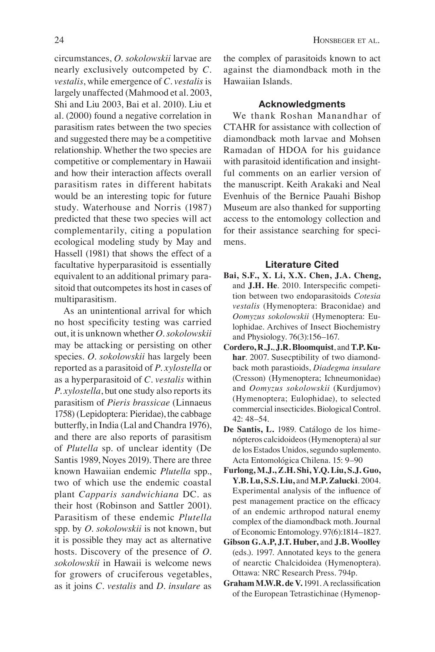circumstances, *O. sokolowskii* larvae are nearly exclusively outcompeted by *C. vestalis*, while emergence of *C. vestalis* is largely unaffected (Mahmood et al. 2003, Shi and Liu 2003, Bai et al. 2010). Liu et al. (2000) found a negative correlation in parasitism rates between the two species and suggested there may be a competitive relationship. Whether the two species are competitive or complementary in Hawaii and how their interaction affects overall parasitism rates in different habitats would be an interesting topic for future study. Waterhouse and Norris (1987) predicted that these two species will act complementarily, citing a population ecological modeling study by May and

Hassell (1981) that shows the effect of a facultative hyperparasitoid is essentially equivalent to an additional primary parasitoid that outcompetes its host in cases of multiparasitism.

As an unintentional arrival for which no host specificity testing was carried out, it is unknown whether *O. sokolowskii* may be attacking or persisting on other species. *O. sokolowskii* has largely been reported as a parasitoid of *P. xylostella* or as a hyperparasitoid of *C. vestalis* within *P. xylostella*, but one study also reports its parasitism of *Pieris brassicae* (Linnaeus 1758) (Lepidoptera: Pieridae), the cabbage butterfly, in India (Lal and Chandra 1976), and there are also reports of parasitism of *Plutella* sp. of unclear identity (De Santis 1989, Noyes 2019). There are three known Hawaiian endemic *Plutella* spp., two of which use the endemic coastal plant *Capparis sandwichiana* DC. as their host (Robinson and Sattler 2001). Parasitism of these endemic *Plutella* spp. by *O. sokolowskii* is not known, but it is possible they may act as alternative hosts. Discovery of the presence of *O. sokolowskii* in Hawaii is welcome news for growers of cruciferous vegetables, as it joins *C. vestalis* and *D. insulare* as

the complex of parasitoids known to act against the diamondback moth in the Hawaiian Islands.

### **Acknowledgments**

We thank Roshan Manandhar of CTAHR for assistance with collection of diamondback moth larvae and Mohsen Ramadan of HDOA for his guidance with parasitoid identification and insightful comments on an earlier version of the manuscript. Keith Arakaki and Neal Evenhuis of the Bernice Pauahi Bishop Museum are also thanked for supporting access to the entomology collection and for their assistance searching for specimens.

#### **Literature Cited**

- **Bai, S.F., X. Li, X.X. Chen, J.A. Cheng,** and **J.H. He**. 2010. Interspecific competition between two endoparasitoids *Cotesia vestalis* (Hymenoptera: Braconidae) and *Oomyzus sokolowskii* (Hymenoptera: Eulophidae. Archives of Insect Biochemistry and Physiology. 76(3):156–167.
- **Cordero, R.J.**, **J.R. Bloomquist**, and **T.P. Kuhar**. 2007. Susecptibility of two diamondback moth parastioids, *Diadegma insulare* (Cresson) (Hymenoptera; Ichneumonidae) and *Oomyzus sokolowskii* (Kurdjumov) (Hymenoptera; Eulophidae), to selected commercial insecticides. Biological Control. 42: 48–54.
- **De Santis, L.** 1989. Catálogo de los himenópteros calcidoideos (Hymenoptera) al sur de los Estados Unidos, segundo suplemento. Acta Entomológica Chilena. 15: 9–90
- **Furlong, M.J., Z.H. Shi, Y.Q. Liu, S.J. Guo, Y.B. Lu, S.S. Liu,** and **M.P. Zalucki**. 2004. Experimental analysis of the influence of pest management practice on the efficacy of an endemic arthropod natural enemy complex of the diamondback moth. Journal of Economic Entomology. 97(6):1814–1827.
- **Gibson G.A.P, J.T. Huber,** and **J.B. Woolley** (eds.). 1997. Annotated keys to the genera of nearctic Chalcidoidea (Hymenoptera). Ottawa: NRC Research Press. 794p.
- **Graham M.W.R. de V.** 1991. A reclassification of the European Tetrastichinae (Hymenop-